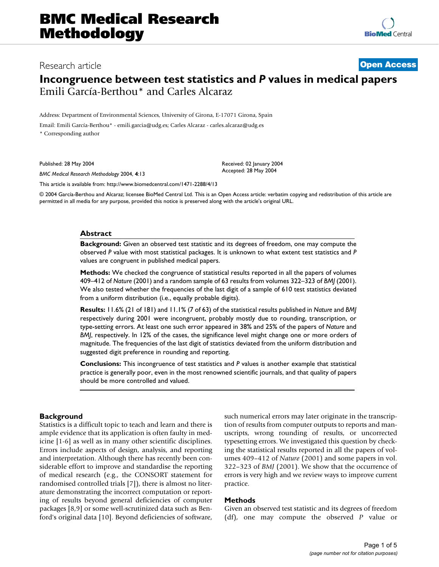## Research article **[Open Access](http://www.biomedcentral.com/info/about/charter/)**

# **Incongruence between test statistics and** *P* **values in medical papers** Emili García-Berthou\* and Carles Alcaraz

Address: Department of Environmental Sciences, University of Girona, E-17071 Girona, Spain Email: Emili García-Berthou\* - emili.garcia@udg.es; Carles Alcaraz - carles.alcaraz@udg.es \* Corresponding author

Published: 28 May 2004

*BMC Medical Research Methodology* 2004, **4**:13

Received: 02 January 2004 Accepted: 28 May 2004

[This article is available from: http://www.biomedcentral.com/1471-2288/4/13](http://www.biomedcentral.com/1471-2288/4/13)

© 2004 García-Berthou and Alcaraz; licensee BioMed Central Ltd. This is an Open Access article: verbatim copying and redistribution of this article are permitted in all media for any purpose, provided this notice is preserved along with the article's original URL.

#### **Abstract**

**Background:** Given an observed test statistic and its degrees of freedom, one may compute the observed *P* value with most statistical packages. It is unknown to what extent test statistics and *P* values are congruent in published medical papers.

**Methods:** We checked the congruence of statistical results reported in all the papers of volumes 409–412 of *Nature* (2001) and a random sample of 63 results from volumes 322–323 of *BMJ* (2001). We also tested whether the frequencies of the last digit of a sample of 610 test statistics deviated from a uniform distribution (i.e., equally probable digits).

**Results:** 11.6% (21 of 181) and 11.1% (7 of 63) of the statistical results published in *Nature* and *BMJ* respectively during 2001 were incongruent, probably mostly due to rounding, transcription, or type-setting errors. At least one such error appeared in 38% and 25% of the papers of *Nature* and *BMJ*, respectively. In 12% of the cases, the significance level might change one or more orders of magnitude. The frequencies of the last digit of statistics deviated from the uniform distribution and suggested digit preference in rounding and reporting.

**Conclusions:** This incongruence of test statistics and *P* values is another example that statistical practice is generally poor, even in the most renowned scientific journals, and that quality of papers should be more controlled and valued.

#### **Background**

Statistics is a difficult topic to teach and learn and there is ample evidence that its application is often faulty in medicine [1-6] as well as in many other scientific disciplines. Errors include aspects of design, analysis, and reporting and interpretation. Although there has recently been considerable effort to improve and standardise the reporting of medical research (e.g., the CONSORT statement for randomised controlled trials [7]), there is almost no literature demonstrating the incorrect computation or reporting of results beyond general deficiencies of computer packages [8,9] or some well-scrutinized data such as Benford's original data [10]. Beyond deficiencies of software, such numerical errors may later originate in the transcription of results from computer outputs to reports and manuscripts, wrong rounding of results, or uncorrected typesetting errors. We investigated this question by checking the statistical results reported in all the papers of volumes 409–412 of *Nature* (2001) and some papers in vol. 322–323 of *BMJ* (2001). We show that the occurrence of errors is very high and we review ways to improve current practice.

#### **Methods**

Given an observed test statistic and its degrees of freedom (df), one may compute the observed *P* value or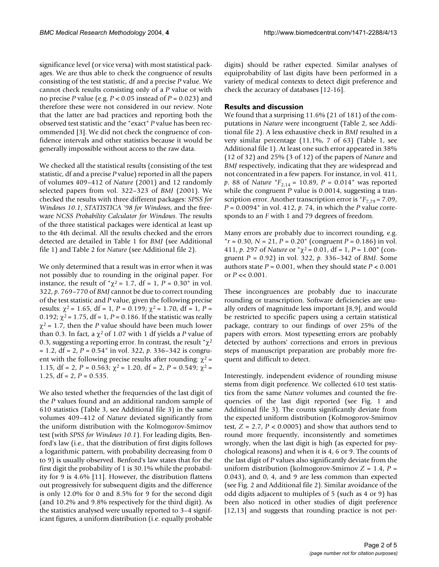significance level (or vice versa) with most statistical packages. We are thus able to check the congruence of results consisting of the test statistic, df and a precise *P* value. We cannot check results consisting only of a *P* value or with no precise *P* value (e.g. *P* < 0.05 instead of *P* = 0.023) and therefore these were not considered in our review. Note that the latter are bad practices and reporting both the observed test statistic and the "exact" *P* value has been recommended [3]. We did not check the congruence of confidence intervals and other statistics because it would be generally impossible without access to the raw data.

We checked all the statistical results (consisting of the test statistic, df and a precise *P* value) reported in all the papers of volumes 409–412 of *Nature* (2001) and 12 randomly selected papers from vol. 322–323 of *BMJ* (2001). We checked the results with three different packages: *SPSS for Windows 10.1*, *STATISTICA '98 for Windows*, and the freeware *NCSS Probability Calculator for Windows*. The results of the three statistical packages were identical at least up to the 4th decimal. All the results checked and the errors detected are detailed in Table 1 for *BMJ* (see Additional file 1) and Table 2 for *Nature* (see Additional file 2).

We only determined that a result was in error when it was not possibly due to rounding in the original paper. For instance, the result of " $\chi^2$  = 1.7, df = 1, P = 0.30" in vol. 322, *p*. 769–770 of *BMJ* cannot be due to correct rounding of the test statistic and *P* value, given the following precise results:  $χ² = 1.65$ , df = 1,  $P = 0.199$ ;  $χ² = 1.70$ , df = 1,  $P =$ 0.192;  $\chi^2$  = 1.75, df = 1, P = 0.186. If the statistic was really  $\chi^2$  = 1.7, then the *P* value should have been much lower than 0.3. In fact, a  $\chi^2$  of 1.07 with 1 df yields a *P* value of 0.3, suggesting a reporting error. In contrast, the result " $\chi^2$ = 1.2, df = 2, *P* = 0.54" in vol. 322, *p*. 336–342 is congruent with the following precise results after rounding:  $\chi^2$  = 1.15, df = 2,  $P = 0.563$ ;  $\chi^2 = 1.20$ , df = 2,  $P = 0.549$ ;  $\chi^2 =$ 1.25,  $df = 2$ ,  $P = 0.535$ .

We also tested whether the frequencies of the last digit of the *P* values found and an additional random sample of 610 statistics (Table 3, see Additional file 3) in the same volumes 409–412 of *Nature* deviated significantly from the uniform distribution with the Kolmogorov-Smirnov test (with *SPSS for Windows 10.1*). For leading digits, Benford's law (i.e., that the distribution of first digits follows a logarithmic pattern, with probability decreasing from 0 to 9) is usually observed. Benford's law states that for the first digit the probability of 1 is 30.1% while the probability for 9 is 4.6% [11]. However, the distribution flattens out progressively for subsequent digits and the difference is only 12.0% for 0 and 8.5% for 9 for the second digit (and 10.2% and 9.8% respectively for the third digit). As the statistics analysed were usually reported to 3–4 significant figures, a uniform distribution (i.e. equally probable digits) should be rather expected. Similar analyses of equiprobability of last digits have been performed in a variety of medical contexts to detect digit preference and check the accuracy of databases [12-16].

#### **Results and discussion**

We found that a surprising 11.6% (21 of 181) of the computations in *Nature* were incongruent (Table 2, see Additional file 2). A less exhaustive check in *BMJ* resulted in a very similar percentage (11.1%, 7 of 63) (Table 1, see Additional file 1). At least one such error appeared in 38% (12 of 32) and 25% (3 of 12) of the papers of *Nature* and *BMJ* respectively, indicating that they are widespread and not concentrated in a few papers. For instance, in vol. 411, *p*. 88 of *Nature* "*F*2,14 = 10.89, *P* = 0.014" was reported while the congruent *P* value is 0.0014, suggesting a transcription error. Another transcription error is  $F_{7,79} = 7.09$ , *P* = 0.0094" in vol. 412, *p*. 74, in which the *P* value corresponds to an *F* with 1 and 79 degrees of freedom.

Many errors are probably due to incorrect rounding, e.g. "*r* = 0.30, *N* = 21, *P* = 0.20" (congruent *P* = 0.186) in vol. 411, *p*. 297 of *Nature* or "χ2 = 0.01, df = 1, *P* = 1.00" (congruent *P* = 0.92) in vol. 322, *p*. 336–342 of *BMJ*. Some authors state  $P = 0.001$ , when they should state  $P < 0.001$ or  $P \ll 0.001$ .

These incongruences are probably due to inaccurate rounding or transcription. Software deficiencies are usually orders of magnitude less important [8,9], and would be restricted to specific papers using a certain statistical package, contrary to our findings of over 25% of the papers with errors. Most typesetting errors are probably detected by authors' corrections and errors in previous steps of manuscript preparation are probably more frequent and difficult to detect.

Interestingly, independent evidence of rounding misuse stems from digit preference. We collected 610 test statistics from the same *Nature* volumes and counted the frequencies of the last digit reported (see Fig. 1 and Additional file 3). The counts significantly deviate from the expected uniform distribution (Kolmogorov-Smirnov test,  $Z = 2.7$ ,  $P < 0.0005$ ) and show that authors tend to round more frequently, inconsistently and sometimes wrongly, when the last digit is high (as expected for psychological reasons) and when it is 4, 6 or 9. The counts of the last digit of *P* values also significantly deviate from the uniform distribution (kolmogorov-Smirnov *Z* = 1.4, *P* = 0.043), and 0, 4, and 9 are less common than expected (see Fig. 2 and Additional file 2). Similar avoidance of the odd digits adjacent to multiples of 5 (such as 4 or 9) has been also noticed in other studies of digit preference [12,13] and suggests that rounding practice is not per-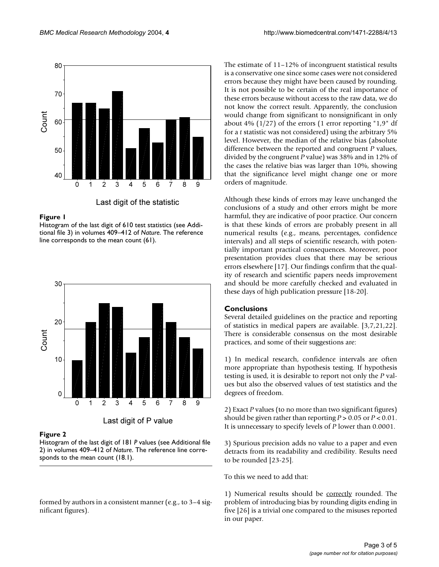

Last digit of the statistic

### Figure 1

Histogram of the last digit of 610 test statistics (see Additional file 3) in volumes 409–412 of *Nature*. The reference line corresponds to the mean count (61).



## Figure 2

Histogram of the last digit of 181 *P* values (see Additional file 2) in volumes 409–412 of *Nature*. The reference line corresponds to the mean count (18.1).

formed by authors in a consistent manner (e.g., to 3–4 significant figures).

The estimate of 11–12% of incongruent statistical results is a conservative one since some cases were not considered errors because they might have been caused by rounding. It is not possible to be certain of the real importance of these errors because without access to the raw data, we do not know the correct result. Apparently, the conclusion would change from significant to nonsignificant in only about 4%  $(1/27)$  of the errors  $(1 \text{ error reporting "1,9" df})$ for a *t* statistic was not considered) using the arbitrary 5% level. However, the median of the relative bias (absolute difference between the reported and congruent *P* values, divided by the congruent *P* value) was 38% and in 12% of the cases the relative bias was larger than 10%, showing that the significance level might change one or more orders of magnitude.

Although these kinds of errors may leave unchanged the conclusions of a study and other errors might be more harmful, they are indicative of poor practice. Our concern is that these kinds of errors are probably present in all numerical results (e.g., means, percentages, confidence intervals) and all steps of scientific research, with potentially important practical consequences. Moreover, poor presentation provides clues that there may be serious errors elsewhere [17]. Our findings confirm that the quality of research and scientific papers needs improvement and should be more carefully checked and evaluated in these days of high publication pressure [18-20].

## **Conclusions**

Several detailed guidelines on the practice and reporting of statistics in medical papers are available. [3,7,21,22]. There is considerable consensus on the most desirable practices, and some of their suggestions are:

1) In medical research, confidence intervals are often more appropriate than hypothesis testing. If hypothesis testing is used, it is desirable to report not only the *P* values but also the observed values of test statistics and the degrees of freedom.

2) Exact *P* values (to no more than two significant figures) should be given rather than reporting  $P > 0.05$  or  $P < 0.01$ . It is unnecessary to specify levels of *P* lower than 0.0001.

3) Spurious precision adds no value to a paper and even detracts from its readability and credibility. Results need to be rounded [23-25].

To this we need to add that:

1) Numerical results should be correctly rounded. The problem of introducing bias by rounding digits ending in five [26] is a trivial one compared to the misuses reported in our paper.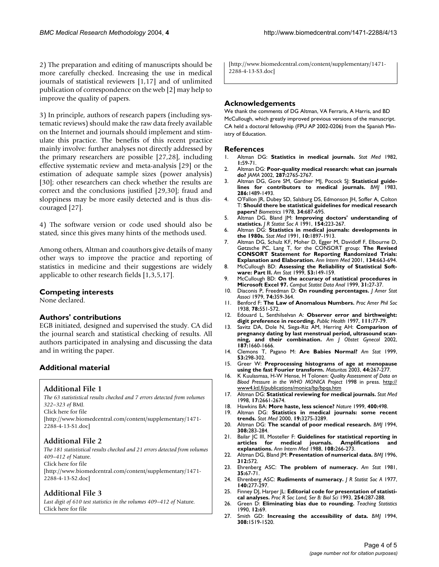2) The preparation and editing of manuscripts should be more carefully checked. Increasing the use in medical journals of statistical reviewers [1,17] and of unlimited publication of correspondence on the web [2] may help to improve the quality of papers.

3) In principle, authors of research papers (including systematic reviews) should make the raw data freely available on the Internet and journals should implement and stimulate this practice. The benefits of this recent practice mainly involve: further analyses not directly addressed by the primary researchers are possible [27,28], including effective systematic review and meta-analysis [29] or the estimation of adequate sample sizes (power analysis) [30]; other researchers can check whether the results are correct and the conclusions justified [29,30]; fraud and sloppiness may be more easily detected and is thus discouraged [27].

4) The software version or code used should also be stated, since this gives many hints of the methods used.

Among others, Altman and coauthors give details of many other ways to improve the practice and reporting of statistics in medicine and their suggestions are widely applicable to other research fields [1,3,5,17].

### **Competing interests**

None declared.

### **Authors' contributions**

EGB initiated, designed and supervised the study. CA did the journal search and statistical checking of results. All authors participated in analysing and discussing the data and in writing the paper.

## **Additional material**

#### **Additional File 1**

*The 63 statististical results checked and 7 errors detected from volumes 322–323 of* BMJ*.* Click here for file [\[http://www.biomedcentral.com/content/supplementary/1471-](http://www.biomedcentral.com/content/supplementary/1471-2288-4-13-S1.doc)

### **Additional File 2**

2288-4-13-S1.doc]

*The 181 statististical results checked and 21 errors detected from volumes 409–412 of* Nature*.* Click here for file

[\[http://www.biomedcentral.com/content/supplementary/1471-](http://www.biomedcentral.com/content/supplementary/1471-2288-4-13-S2.doc) 2288-4-13-S2.doc]

### **Additional File 3**

Last digit of 610 test statistics in the volumes 409-412 of Nature. Click here for file

[\[http://www.biomedcentral.com/content/supplementary/1471-](http://www.biomedcentral.com/content/supplementary/1471-2288-4-13-S3.doc) 2288-4-13-S3.doc]

## **Acknowledgements**

We thank the comments of DG Altman, VA Ferraris, A Harris, and BD McCullough, which greatly improved previous versions of the manuscript. CA held a doctoral fellowship (FPU AP 2002-0206) from the Spanish Ministry of Education.

#### **References**

- 1. Altman DG: **[Statistics in medical journals.](http://www.ncbi.nlm.nih.gov/entrez/query.fcgi?cmd=Retrieve&db=PubMed&dopt=Abstract&list_uids=7187083)** *Stat Med* 1982, **1:**59-71.
- 2. Altman DG: **[Poor-quality medical research: what can journals](http://www.ncbi.nlm.nih.gov/entrez/query.fcgi?cmd=Retrieve&db=PubMed&dopt=Abstract&list_uids=10.1001/jama.287.21.2765) [do?](http://www.ncbi.nlm.nih.gov/entrez/query.fcgi?cmd=Retrieve&db=PubMed&dopt=Abstract&list_uids=10.1001/jama.287.21.2765)** *JAMA* 2002, **287:**2765-2767.
- 3. Altman DG, Gore SM, Gardner MJ, Pocock SJ: **[Statistical guide](http://www.ncbi.nlm.nih.gov/entrez/query.fcgi?cmd=Retrieve&db=PubMed&dopt=Abstract&list_uids=6405856)[lines for contributors to medical journals.](http://www.ncbi.nlm.nih.gov/entrez/query.fcgi?cmd=Retrieve&db=PubMed&dopt=Abstract&list_uids=6405856)** *BMJ* 1983, **286:**1489-1493.
- 4. O'Fallon JR, Dubey SD, Salsburg DS, Edmonson JH, Soffer A, Colton T: **[Should there be statistical guidelines for medical research](http://www.ncbi.nlm.nih.gov/entrez/query.fcgi?cmd=Retrieve&db=PubMed&dopt=Abstract&list_uids=749952) [papers?](http://www.ncbi.nlm.nih.gov/entrez/query.fcgi?cmd=Retrieve&db=PubMed&dopt=Abstract&list_uids=749952)** *Biometrics* 1978, **34:**687-695.
- 5. Altman DG, Bland JM: **Improving doctors' understanding of statistics.** *J R Statist Soc A* 1991, **154:**223-267.
- 6. Altman DG: **[Statistics in medical journals: developments in](http://www.ncbi.nlm.nih.gov/entrez/query.fcgi?cmd=Retrieve&db=PubMed&dopt=Abstract&list_uids=1805317) [the 1980s.](http://www.ncbi.nlm.nih.gov/entrez/query.fcgi?cmd=Retrieve&db=PubMed&dopt=Abstract&list_uids=1805317)** *Stat Med* 1991, **10:**1897-1913.
- 7. Altman DG, Schulz KF, Moher D, Egger M, Davidoff F, Elbourne D, Gøtzsche PC, Lang T, for the CONSORT group: **[The Revised](http://www.ncbi.nlm.nih.gov/entrez/query.fcgi?cmd=Retrieve&db=PubMed&dopt=Abstract&list_uids=11304107) [CONSORT Statement for Reporting Randomized Trials:](http://www.ncbi.nlm.nih.gov/entrez/query.fcgi?cmd=Retrieve&db=PubMed&dopt=Abstract&list_uids=11304107) [Explanation and Elaboration.](http://www.ncbi.nlm.nih.gov/entrez/query.fcgi?cmd=Retrieve&db=PubMed&dopt=Abstract&list_uids=11304107)** *Ann Intern Med* 2001, **134:**663-694.
- 8. McCullough BD: **Assessing the Reliability of Statistical Software: Part II.** *Am Stat* 1999, **53:**149-159.
- 9. McCullough BD: **[On the accuracy of statistical procedures in](http://www.ncbi.nlm.nih.gov/entrez/query.fcgi?cmd=Retrieve&db=PubMed&dopt=Abstract&list_uids=10.1016/S0167-9473(99)00004-3) [Microsoft Excel 97.](http://www.ncbi.nlm.nih.gov/entrez/query.fcgi?cmd=Retrieve&db=PubMed&dopt=Abstract&list_uids=10.1016/S0167-9473(99)00004-3)** *Comput Statist Data Anal* 1999, **31:**27-37.
- 10. Diaconis P, Freedman D: **On rounding percentages.** *J Amer Stat Associ* 1979, **74:**359-364.
- 11. Benford F: **The Law of Anomalous Numbers.** *Proc Amer Phil Soc* 1938, **78:**551-572.
- 12. Edouard L, Senthilselvan A: **[Observer error and birthweight:](http://www.ncbi.nlm.nih.gov/entrez/query.fcgi?cmd=Retrieve&db=PubMed&dopt=Abstract&list_uids=9090280) [digit preference in recording.](http://www.ncbi.nlm.nih.gov/entrez/query.fcgi?cmd=Retrieve&db=PubMed&dopt=Abstract&list_uids=9090280)** *Public Health* 1997, **111:**77-79.
- 13. Savitz DA, Dole N, Siega-Riz AM, Herring AH: **[Comparison of](http://www.ncbi.nlm.nih.gov/entrez/query.fcgi?cmd=Retrieve&db=PubMed&dopt=Abstract&list_uids=10.1067/mob.2002.127601) [pregnancy dating by last menstrual period, ultrasound scan](http://www.ncbi.nlm.nih.gov/entrez/query.fcgi?cmd=Retrieve&db=PubMed&dopt=Abstract&list_uids=10.1067/mob.2002.127601)[ning, and their combination](http://www.ncbi.nlm.nih.gov/entrez/query.fcgi?cmd=Retrieve&db=PubMed&dopt=Abstract&list_uids=10.1067/mob.2002.127601)[.](http://www.ncbi.nlm.nih.gov/entrez/query.fcgi?cmd=Retrieve&db=PubMed&dopt=Abstract&list_uids=12501080)** *Am J Obstet Gynecol* 2002, **187:**1660-1666.
- 14. Clemons T, Pagano M: **Are Babies Normal?** *Am Stat* 1999, **53:**298-302.
- 15. Greer W: **[Preprocessing histograms of age at menopause](http://www.ncbi.nlm.nih.gov/entrez/query.fcgi?cmd=Retrieve&db=PubMed&dopt=Abstract&list_uids=10.1016/S0378-5122(03)00039-2) [using the fast Fourier transform](http://www.ncbi.nlm.nih.gov/entrez/query.fcgi?cmd=Retrieve&db=PubMed&dopt=Abstract&list_uids=10.1016/S0378-5122(03)00039-2)[.](http://www.ncbi.nlm.nih.gov/entrez/query.fcgi?cmd=Retrieve&db=PubMed&dopt=Abstract&list_uids=12697367)** *Maturitas* 2003, **44:**267-277.
- 16. K Kuulasmaa, H-W Hense, H Tolonen: *Quality Assessment of Data on Blood Pressure in the WHO MONICA Project* 1998 in press. [http://](http://www4.ktl.fi/publications/monica/bp/bpqa.htm) [www4.ktl.fi/publications/monica/bp/bpqa.htm](http://www4.ktl.fi/publications/monica/bp/bpqa.htm)
- 17. Altman DG: **[Statistical reviewing for medical journals](http://www.ncbi.nlm.nih.gov/entrez/query.fcgi?cmd=Retrieve&db=PubMed&dopt=Abstract&list_uids=10.1002/(SICI)1097-0258(19981215)17:23<2661::AID-SIM33>3.3.CO;2-2)[.](http://www.ncbi.nlm.nih.gov/entrez/query.fcgi?cmd=Retrieve&db=PubMed&dopt=Abstract&list_uids=9881413)** *Stat Med* 1998, **17:**2661-2674.
- 18. Hawkins BA: **[More haste, less science?](http://www.ncbi.nlm.nih.gov/entrez/query.fcgi?cmd=Retrieve&db=PubMed&dopt=Abstract&list_uids=10.1038/22862)** *Nature* 1999, **400:**498.
- 19. Altman DG: **[Statistics in medical journals: some recent](http://www.ncbi.nlm.nih.gov/entrez/query.fcgi?cmd=Retrieve&db=PubMed&dopt=Abstract&list_uids=10.1002/1097-0258(20001215)19:23<3275::AID-SIM626>3.3.CO;2-D) [trends](http://www.ncbi.nlm.nih.gov/entrez/query.fcgi?cmd=Retrieve&db=PubMed&dopt=Abstract&list_uids=10.1002/1097-0258(20001215)19:23<3275::AID-SIM626>3.3.CO;2-D)[.](http://www.ncbi.nlm.nih.gov/entrez/query.fcgi?cmd=Retrieve&db=PubMed&dopt=Abstract&list_uids=11113959)** *Stat Med* 2000, **19:**3275-3289.
- 20. Altman DG: **[The scandal of poor medical research.](http://www.ncbi.nlm.nih.gov/entrez/query.fcgi?cmd=Retrieve&db=PubMed&dopt=Abstract&list_uids=8124111)** *BMJ* 1994, **308:**283-284.
- 21. Bailar JC III, Mosteller F: **[Guidelines for statistical reporting in](http://www.ncbi.nlm.nih.gov/entrez/query.fcgi?cmd=Retrieve&db=PubMed&dopt=Abstract&list_uids=3341656) [articles for medical journals. Amplifications and](http://www.ncbi.nlm.nih.gov/entrez/query.fcgi?cmd=Retrieve&db=PubMed&dopt=Abstract&list_uids=3341656) [explanations.](http://www.ncbi.nlm.nih.gov/entrez/query.fcgi?cmd=Retrieve&db=PubMed&dopt=Abstract&list_uids=3341656)** *Ann Intern Med* 1988, **108:**266-273.
- 22. Altman DG, Bland JM: **[Presentation of numerical data.](http://www.ncbi.nlm.nih.gov/entrez/query.fcgi?cmd=Retrieve&db=PubMed&dopt=Abstract&list_uids=8595293)** *BMJ* 1996, **312:**572.
- 23. Ehrenberg ASC: **The problem of numeracy.** *Am Stat* 1981, **35:**67-71.
- 24. Ehrenberg ASC: **Rudiments of numeracy.** *J R Statist Soc A* 1977, **140:**277-297.
- 25. Finney DJ, Harper |L: Editorial code for presentation of statisti**cal analyses.** *Proc R Soc Lond, Ser B: Biol Sci* 1993, **254:**287-288.
- 26. Green D: **Eliminating bias due to rounding.** *Teaching Statistics* 1990, **12:**69.
- 27. Smith GD: **[Increasing the accessibility of data.](http://www.ncbi.nlm.nih.gov/entrez/query.fcgi?cmd=Retrieve&db=PubMed&dopt=Abstract&list_uids=8019302)** *BMJ* 1994, **308:**1519-1520.